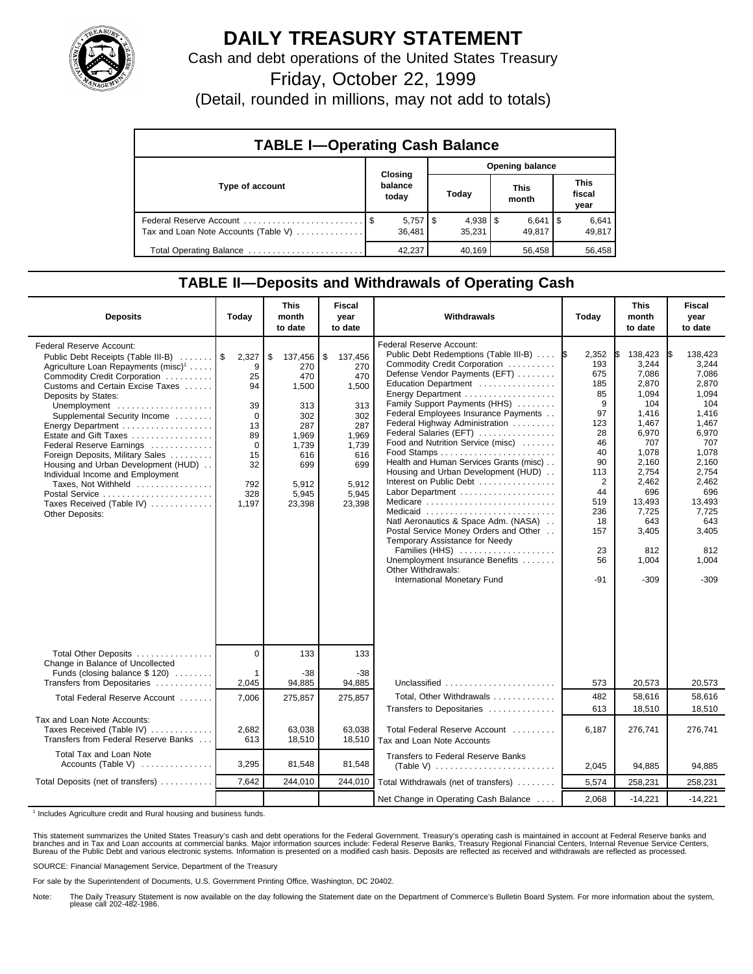

## **DAILY TREASURY STATEMENT**

Cash and debt operations of the United States Treasury

Friday, October 22, 1999

(Detail, rounded in millions, may not add to totals)

| <b>TABLE I-Operating Cash Balance</b> |                  |                       |                      |  |                      |  |                               |  |  |
|---------------------------------------|------------------|-----------------------|----------------------|--|----------------------|--|-------------------------------|--|--|
|                                       | Closing          |                       | Opening balance      |  |                      |  |                               |  |  |
| Type of account                       | balance<br>today |                       | Today                |  | <b>This</b><br>month |  | <b>This</b><br>fiscal<br>year |  |  |
| Tax and Loan Note Accounts (Table V)  | 36.481           | $5,757$ $\frac{1}{3}$ | $4,938$ \$<br>35,231 |  | $6,641$ S<br>49.817  |  | 6,641<br>49,817               |  |  |
| Total Operating Balance               | 42.237           |                       | 40,169               |  | 56.458               |  | 56,458                        |  |  |

## **TABLE II—Deposits and Withdrawals of Operating Cash**

| <b>Deposits</b>                                                                                                                                                                                                                                                                                                                                                                                                                                                                                                                                | Today                                                                                                  | <b>This</b><br>month<br>to date                                                                                       | <b>Fiscal</b><br>year<br>to date                                                                                      | Withdrawals                                                                                                                                                                                                                                                                                                                                                                                                                                                                                                                                                                                                                                                                                                                                     | Today                                                                                                                                               | <b>This</b><br>month<br>to date                                                                                                                                                              | <b>Fiscal</b><br>year<br>to date                                                                                                                                                                  |
|------------------------------------------------------------------------------------------------------------------------------------------------------------------------------------------------------------------------------------------------------------------------------------------------------------------------------------------------------------------------------------------------------------------------------------------------------------------------------------------------------------------------------------------------|--------------------------------------------------------------------------------------------------------|-----------------------------------------------------------------------------------------------------------------------|-----------------------------------------------------------------------------------------------------------------------|-------------------------------------------------------------------------------------------------------------------------------------------------------------------------------------------------------------------------------------------------------------------------------------------------------------------------------------------------------------------------------------------------------------------------------------------------------------------------------------------------------------------------------------------------------------------------------------------------------------------------------------------------------------------------------------------------------------------------------------------------|-----------------------------------------------------------------------------------------------------------------------------------------------------|----------------------------------------------------------------------------------------------------------------------------------------------------------------------------------------------|---------------------------------------------------------------------------------------------------------------------------------------------------------------------------------------------------|
| Federal Reserve Account:<br>Public Debt Receipts (Table III-B)<br>Agriculture Loan Repayments (misc) <sup>1</sup><br>Commodity Credit Corporation<br>Customs and Certain Excise Taxes<br>Deposits by States:<br>Unemployment<br>Supplemental Security Income<br>Energy Department<br>Estate and Gift Taxes<br>Federal Reserve Earnings<br>Foreign Deposits, Military Sales<br>Housing and Urban Development (HUD)<br>Individual Income and Employment<br>Taxes, Not Withheld<br>Postal Service<br>Taxes Received (Table IV)<br>Other Deposits: | 2,327<br>9<br>25<br>94<br>39<br>$\mathbf 0$<br>13<br>89<br>$\Omega$<br>15<br>32<br>792<br>328<br>1,197 | \$<br>137,456<br>270<br>470<br>1,500<br>313<br>302<br>287<br>1,969<br>1,739<br>616<br>699<br>5,912<br>5,945<br>23,398 | \$<br>137,456<br>270<br>470<br>1,500<br>313<br>302<br>287<br>1,969<br>1,739<br>616<br>699<br>5.912<br>5.945<br>23,398 | Federal Reserve Account:<br>Public Debt Redemptions (Table III-B)<br>Commodity Credit Corporation<br>Defense Vendor Payments (EFT)<br>Education Department<br>Energy Department<br>Family Support Payments (HHS)<br>Federal Employees Insurance Payments<br>Federal Highway Administration<br>Federal Salaries (EFT)<br>Food and Nutrition Service (misc)<br>Health and Human Services Grants (misc)<br>Housing and Urban Development (HUD)<br>Interest on Public Debt<br>Labor Department<br>Medicare<br>Medicaid<br>Natl Aeronautics & Space Adm. (NASA)<br>Postal Service Money Orders and Other<br>Temporary Assistance for Needy<br>Families (HHS)<br>Unemployment Insurance Benefits<br>Other Withdrawals:<br>International Monetary Fund | 2,352<br>1\$<br>193<br>675<br>185<br>85<br>9<br>97<br>123<br>28<br>46<br>40<br>90<br>113<br>2<br>44<br>519<br>236<br>18<br>157<br>23<br>56<br>$-91$ | 138,423<br>3,244<br>7,086<br>2,870<br>1,094<br>104<br>1,416<br>1,467<br>6,970<br>707<br>1,078<br>2,160<br>2,754<br>2,462<br>696<br>13,493<br>7.725<br>643<br>3,405<br>812<br>1,004<br>$-309$ | 138,423<br>I\$<br>3,244<br>7,086<br>2,870<br>1.094<br>104<br>1,416<br>1,467<br>6,970<br>707<br>1,078<br>2,160<br>2.754<br>2,462<br>696<br>13,493<br>7.725<br>643<br>3,405<br>812<br>1,004<br>-309 |
| Total Other Deposits<br>Change in Balance of Uncollected                                                                                                                                                                                                                                                                                                                                                                                                                                                                                       | $\overline{0}$                                                                                         | 133                                                                                                                   | 133                                                                                                                   |                                                                                                                                                                                                                                                                                                                                                                                                                                                                                                                                                                                                                                                                                                                                                 |                                                                                                                                                     |                                                                                                                                                                                              |                                                                                                                                                                                                   |
| Funds (closing balance \$ 120)<br>Transfers from Depositaries                                                                                                                                                                                                                                                                                                                                                                                                                                                                                  | $\mathbf 1$<br>2,045                                                                                   | $-38$<br>94,885                                                                                                       | $-38$<br>94,885                                                                                                       | Unclassified                                                                                                                                                                                                                                                                                                                                                                                                                                                                                                                                                                                                                                                                                                                                    | 573                                                                                                                                                 | 20,573                                                                                                                                                                                       | 20,573                                                                                                                                                                                            |
| Total Federal Reserve Account                                                                                                                                                                                                                                                                                                                                                                                                                                                                                                                  | 7,006                                                                                                  | 275,857                                                                                                               | 275,857                                                                                                               | Total, Other Withdrawals<br>Transfers to Depositaries                                                                                                                                                                                                                                                                                                                                                                                                                                                                                                                                                                                                                                                                                           | 482<br>613                                                                                                                                          | 58.616<br>18,510                                                                                                                                                                             | 58.616<br>18,510                                                                                                                                                                                  |
| Tax and Loan Note Accounts:<br>Taxes Received (Table IV)<br>Transfers from Federal Reserve Banks                                                                                                                                                                                                                                                                                                                                                                                                                                               | 2,682<br>613                                                                                           | 63,038<br>18,510                                                                                                      | 63,038<br>18,510                                                                                                      | Total Federal Reserve Account<br>Tax and Loan Note Accounts                                                                                                                                                                                                                                                                                                                                                                                                                                                                                                                                                                                                                                                                                     | 6,187                                                                                                                                               | 276,741                                                                                                                                                                                      | 276,741                                                                                                                                                                                           |
| Total Tax and Loan Note<br>Accounts (Table V)                                                                                                                                                                                                                                                                                                                                                                                                                                                                                                  | 3,295                                                                                                  | 81,548                                                                                                                | 81,548                                                                                                                | <b>Transfers to Federal Reserve Banks</b>                                                                                                                                                                                                                                                                                                                                                                                                                                                                                                                                                                                                                                                                                                       | 2,045                                                                                                                                               | 94,885                                                                                                                                                                                       | 94,885                                                                                                                                                                                            |
| Total Deposits (net of transfers)                                                                                                                                                                                                                                                                                                                                                                                                                                                                                                              | 7.642                                                                                                  | 244.010                                                                                                               | 244,010                                                                                                               | Total Withdrawals (net of transfers)                                                                                                                                                                                                                                                                                                                                                                                                                                                                                                                                                                                                                                                                                                            | 5,574                                                                                                                                               | 258,231                                                                                                                                                                                      | 258,231                                                                                                                                                                                           |
|                                                                                                                                                                                                                                                                                                                                                                                                                                                                                                                                                |                                                                                                        |                                                                                                                       |                                                                                                                       | Net Change in Operating Cash Balance                                                                                                                                                                                                                                                                                                                                                                                                                                                                                                                                                                                                                                                                                                            | 2,068                                                                                                                                               | $-14,221$                                                                                                                                                                                    | $-14,221$                                                                                                                                                                                         |

<sup>1</sup> Includes Agriculture credit and Rural housing and business funds.

This statement summarizes the United States Treasury's cash and debt operations for the Federal Government. Treasury's operating cash is maintained in account at Federal Reserve banks and<br>branches and in Tax and Loan accou

SOURCE: Financial Management Service, Department of the Treasury

For sale by the Superintendent of Documents, U.S. Government Printing Office, Washington, DC 20402.

Note: The Daily Treasury Statement is now available on the day following the Statement date on the Department of Commerce's Bulletin Board System. For more information about the system, please call 202-482-1986.